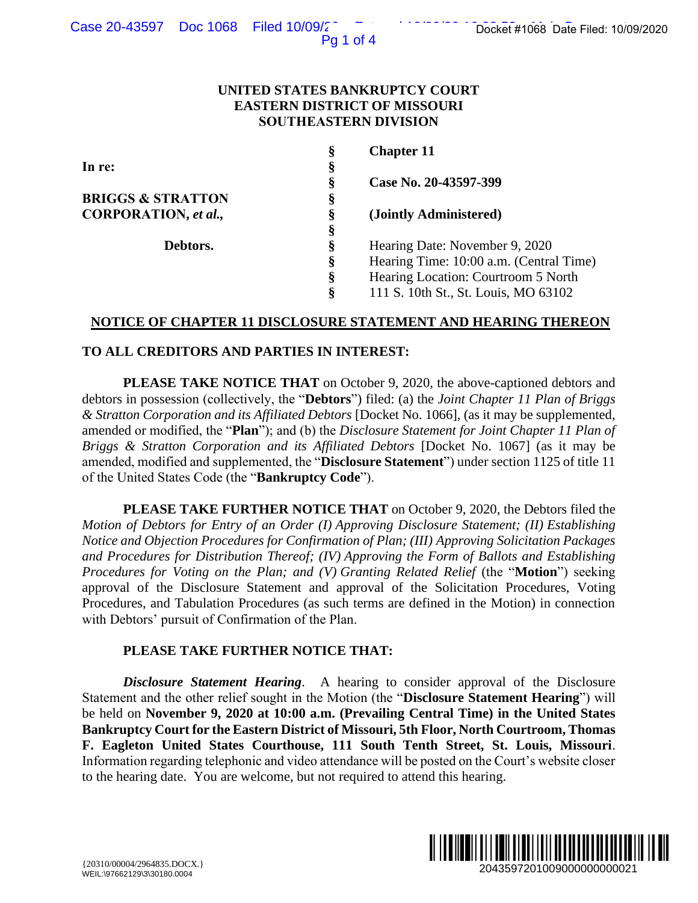## **UNITED STATES BANKRUPTCY COURT EASTERN DISTRICT OF MISSOURI SOUTHEASTERN DIVISION**

| ase 20-43597 DOC 1008 Filed 10/09/2                                                                      | $Pq 1$ of 4                   | Docket #1068 Date Filed: 10/09/2020                                                                                                                                                                                                                                                                                                                                                                                                                                                                                                                                                                                                                                                                                                                                                                                                                                                                                                                                                                                                                                                                                                                                                                                                                                                    |
|----------------------------------------------------------------------------------------------------------|-------------------------------|----------------------------------------------------------------------------------------------------------------------------------------------------------------------------------------------------------------------------------------------------------------------------------------------------------------------------------------------------------------------------------------------------------------------------------------------------------------------------------------------------------------------------------------------------------------------------------------------------------------------------------------------------------------------------------------------------------------------------------------------------------------------------------------------------------------------------------------------------------------------------------------------------------------------------------------------------------------------------------------------------------------------------------------------------------------------------------------------------------------------------------------------------------------------------------------------------------------------------------------------------------------------------------------|
|                                                                                                          |                               | UNITED STATES BANKRUPTCY COURT<br><b>EASTERN DISTRICT OF MISSOURI</b><br><b>SOUTHEASTERN DIVISION</b>                                                                                                                                                                                                                                                                                                                                                                                                                                                                                                                                                                                                                                                                                                                                                                                                                                                                                                                                                                                                                                                                                                                                                                                  |
|                                                                                                          |                               | <b>Chapter 11</b>                                                                                                                                                                                                                                                                                                                                                                                                                                                                                                                                                                                                                                                                                                                                                                                                                                                                                                                                                                                                                                                                                                                                                                                                                                                                      |
| In re:                                                                                                   |                               | Case No. 20-43597-399                                                                                                                                                                                                                                                                                                                                                                                                                                                                                                                                                                                                                                                                                                                                                                                                                                                                                                                                                                                                                                                                                                                                                                                                                                                                  |
| <b>BRIGGS &amp; STRATTON</b>                                                                             |                               |                                                                                                                                                                                                                                                                                                                                                                                                                                                                                                                                                                                                                                                                                                                                                                                                                                                                                                                                                                                                                                                                                                                                                                                                                                                                                        |
| CORPORATION, et al.,                                                                                     |                               | (Jointly Administered)                                                                                                                                                                                                                                                                                                                                                                                                                                                                                                                                                                                                                                                                                                                                                                                                                                                                                                                                                                                                                                                                                                                                                                                                                                                                 |
| Debtors.                                                                                                 |                               | Hearing Date: November 9, 2020                                                                                                                                                                                                                                                                                                                                                                                                                                                                                                                                                                                                                                                                                                                                                                                                                                                                                                                                                                                                                                                                                                                                                                                                                                                         |
|                                                                                                          |                               | Hearing Time: 10:00 a.m. (Central Time)                                                                                                                                                                                                                                                                                                                                                                                                                                                                                                                                                                                                                                                                                                                                                                                                                                                                                                                                                                                                                                                                                                                                                                                                                                                |
|                                                                                                          | 89 89 99 99 99 99 99 99 99 99 | Hearing Location: Courtroom 5 North<br>111 S. 10th St., St. Louis, MO 63102                                                                                                                                                                                                                                                                                                                                                                                                                                                                                                                                                                                                                                                                                                                                                                                                                                                                                                                                                                                                                                                                                                                                                                                                            |
|                                                                                                          |                               | NOTICE OF CHAPTER 11 DISCLOSURE STATEMENT AND HEARING THEREON                                                                                                                                                                                                                                                                                                                                                                                                                                                                                                                                                                                                                                                                                                                                                                                                                                                                                                                                                                                                                                                                                                                                                                                                                          |
| TO ALL CREDITORS AND PARTIES IN INTEREST:                                                                |                               |                                                                                                                                                                                                                                                                                                                                                                                                                                                                                                                                                                                                                                                                                                                                                                                                                                                                                                                                                                                                                                                                                                                                                                                                                                                                                        |
| of the United States Code (the "Bankruptcy Code").<br>with Debtors' pursuit of Confirmation of the Plan. |                               | <b>PLEASE TAKE NOTICE THAT</b> on October 9, 2020, the above-captioned debtors and<br>debtors in possession (collectively, the "Debtors") filed: (a) the <i>Joint Chapter 11 Plan of Briggs</i><br>& Stratton Corporation and its Affiliated Debtors [Docket No. 1066], (as it may be supplemented,<br>amended or modified, the "Plan"); and (b) the Disclosure Statement for Joint Chapter 11 Plan of<br>Briggs & Stratton Corporation and its Affiliated Debtors [Docket No. 1067] (as it may be<br>amended, modified and supplemented, the "Disclosure Statement") under section 1125 of title 11<br><b>PLEASE TAKE FURTHER NOTICE THAT</b> on October 9, 2020, the Debtors filed the<br>Motion of Debtors for Entry of an Order (I) Approving Disclosure Statement; (II) Establishing<br>Notice and Objection Procedures for Confirmation of Plan; (III) Approving Solicitation Packages<br>and Procedures for Distribution Thereof; (IV) Approving the Form of Ballots and Establishing<br>Procedures for Voting on the Plan; and (V) Granting Related Relief (the "Motion") seeking<br>approval of the Disclosure Statement and approval of the Solicitation Procedures, Voting<br>Procedures, and Tabulation Procedures (as such terms are defined in the Motion) in connection |
| PLEASE TAKE FURTHER NOTICE THAT:                                                                         |                               |                                                                                                                                                                                                                                                                                                                                                                                                                                                                                                                                                                                                                                                                                                                                                                                                                                                                                                                                                                                                                                                                                                                                                                                                                                                                                        |
| to the hearing date. You are welcome, but not required to attend this hearing.                           |                               | <b>Disclosure Statement Hearing.</b> A hearing to consider approval of the Disclosure<br>Statement and the other relief sought in the Motion (the "Disclosure Statement Hearing") will<br>be held on November 9, 2020 at 10:00 a.m. (Prevailing Central Time) in the United States<br>Bankruptcy Court for the Eastern District of Missouri, 5th Floor, North Courtroom, Thomas<br>F. Eagleton United States Courthouse, 111 South Tenth Street, St. Louis, Missouri.<br>Information regarding telephonic and video attendance will be posted on the Court's website closer                                                                                                                                                                                                                                                                                                                                                                                                                                                                                                                                                                                                                                                                                                            |
| {20310/00004/2964835.DOCX.}                                                                              |                               | 2043597201009000000000021                                                                                                                                                                                                                                                                                                                                                                                                                                                                                                                                                                                                                                                                                                                                                                                                                                                                                                                                                                                                                                                                                                                                                                                                                                                              |

# **NOTICE OF CHAPTER 11 DISCLOSURE STATEMENT AND HEARING THEREON**

# **TO ALL CREDITORS AND PARTIES IN INTEREST:**

## **PLEASE TAKE FURTHER NOTICE THAT:**

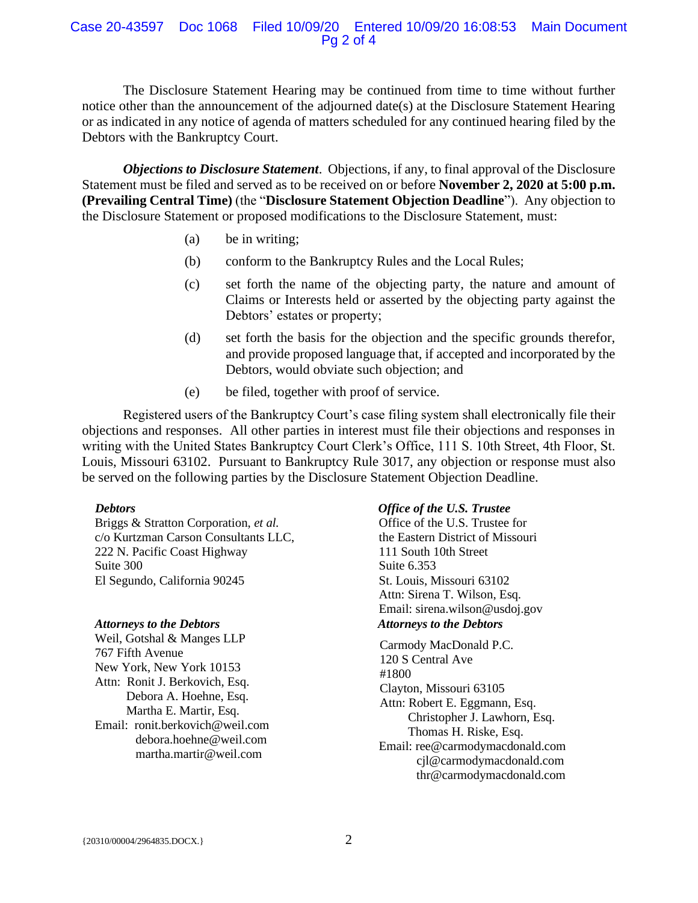Case 20-43597 Doc 1068 Filed 10/09/20 Entered 10/09/20 16:08:53 Main Document Pg 2 of 4

The Disclosure Statement Hearing may be continued from time to time without further notice other than the announcement of the adjourned date(s) at the Disclosure Statement Hearing or as indicated in any notice of agenda of matters scheduled for any continued hearing filed by the Debtors with the Bankruptcy Court.

*Objections to Disclosure Statement*. Objections, if any, to final approval of the Disclosure Statement must be filed and served as to be received on or before **November 2, 2020 at 5:00 p.m. (Prevailing Central Time)** (the "**Disclosure Statement Objection Deadline**"). Any objection to the Disclosure Statement or proposed modifications to the Disclosure Statement, must:

- (a) be in writing;
- (b) conform to the Bankruptcy Rules and the Local Rules;
- (c) set forth the name of the objecting party, the nature and amount of Claims or Interests held or asserted by the objecting party against the Debtors' estates or property;
- (d) set forth the basis for the objection and the specific grounds therefor, and provide proposed language that, if accepted and incorporated by the Debtors, would obviate such objection; and
- (e) be filed, together with proof of service.

Registered users of the Bankruptcy Court's case filing system shall electronically file their objections and responses. All other parties in interest must file their objections and responses in writing with the United States Bankruptcy Court Clerk's Office, 111 S. 10th Street, 4th Floor, St. Louis, Missouri 63102. Pursuant to Bankruptcy Rule 3017, any objection or response must also be served on the following parties by the Disclosure Statement Objection Deadline.

#### *Debtors*

Briggs & Stratton Corporation, *et al.* c/o Kurtzman Carson Consultants LLC, 222 N. Pacific Coast Highway Suite 300 El Segundo, California 90245

#### *Attorneys to the Debtors*

Weil, Gotshal & Manges LLP 767 Fifth Avenue New York, New York 10153 Attn: Ronit J. Berkovich, Esq. Debora A. Hoehne, Esq. Martha E. Martir, Esq. Email: ronit.berkovich@weil.com debora.hoehne@weil.com martha.martir@weil.com

*Office of the U.S. Trustee* Office of the U.S. Trustee for the Eastern District of Missouri 111 South 10th Street Suite 6.353 St. Louis, Missouri 63102 Attn: Sirena T. Wilson, Esq. Email: sirena.wilson@usdoj.gov *Attorneys to the Debtors*

Carmody MacDonald P.C. 120 S Central Ave #1800 Clayton, Missouri 63105 Attn: Robert E. Eggmann, Esq. Christopher J. Lawhorn, Esq. Thomas H. Riske, Esq. Email: ree@carmodymacdonald.com cjl@carmodymacdonald.com thr@carmodymacdonald.com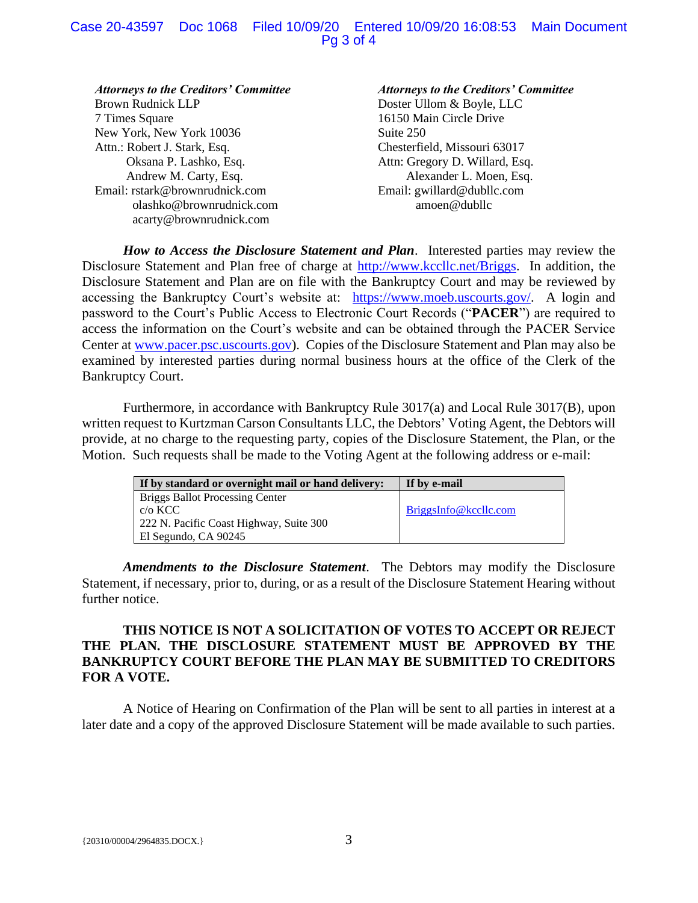## Case 20-43597 Doc 1068 Filed 10/09/20 Entered 10/09/20 16:08:53 Main Document Pg 3 of 4

### *Attorneys to the Creditors' Committee* Brown Rudnick LLP 7 Times Square New York, New York 10036 Attn.: Robert J. Stark, Esq. Oksana P. Lashko, Esq. Andrew M. Carty, Esq. Email: rstark@brownrudnick.com olashko@brownrudnick.com

acarty@brownrudnick.com

#### *Attorneys to the Creditors' Committee*

Doster Ullom & Boyle, LLC 16150 Main Circle Drive Suite 250 Chesterfield, Missouri 63017 Attn: Gregory D. Willard, Esq. Alexander L. Moen, Esq. Email: gwillard@dubllc.com amoen@dubllc

*How to Access the Disclosure Statement and Plan*. Interested parties may review the Disclosure Statement and Plan free of charge at [http://www.kccllc.net/Briggs.](http://www.kccllc.net/Briggs) In addition, the Disclosure Statement and Plan are on file with the Bankruptcy Court and may be reviewed by accessing the Bankruptcy Court's website at: [https://www.moeb.uscourts.gov/.](https://www.moeb.uscourts.gov/) A login and password to the Court's Public Access to Electronic Court Records ("**PACER**") are required to access the information on the Court's website and can be obtained through the PACER Service Center at [www.pacer.psc.uscourts.gov\)](http://www.pacer.psc.uscourts.gov/). Copies of the Disclosure Statement and Plan may also be examined by interested parties during normal business hours at the office of the Clerk of the Bankruptcy Court.

Furthermore, in accordance with Bankruptcy Rule 3017(a) and Local Rule 3017(B), upon written request to Kurtzman Carson Consultants LLC, the Debtors' Voting Agent, the Debtors will provide, at no charge to the requesting party, copies of the Disclosure Statement, the Plan, or the Motion. Such requests shall be made to the Voting Agent at the following address or e-mail:

| If by standard or overnight mail or hand delivery: | If by e-mail          |
|----------------------------------------------------|-----------------------|
| Briggs Ballot Processing Center                    |                       |
| $c/\sigma$ KCC                                     | BriggsInfo@kccllc.com |
| 222 N. Pacific Coast Highway, Suite 300            |                       |
| El Segundo, CA 90245                               |                       |

*Amendments to the Disclosure Statement*. The Debtors may modify the Disclosure Statement, if necessary, prior to, during, or as a result of the Disclosure Statement Hearing without further notice.

# **THIS NOTICE IS NOT A SOLICITATION OF VOTES TO ACCEPT OR REJECT THE PLAN. THE DISCLOSURE STATEMENT MUST BE APPROVED BY THE BANKRUPTCY COURT BEFORE THE PLAN MAY BE SUBMITTED TO CREDITORS FOR A VOTE.**

A Notice of Hearing on Confirmation of the Plan will be sent to all parties in interest at a later date and a copy of the approved Disclosure Statement will be made available to such parties.